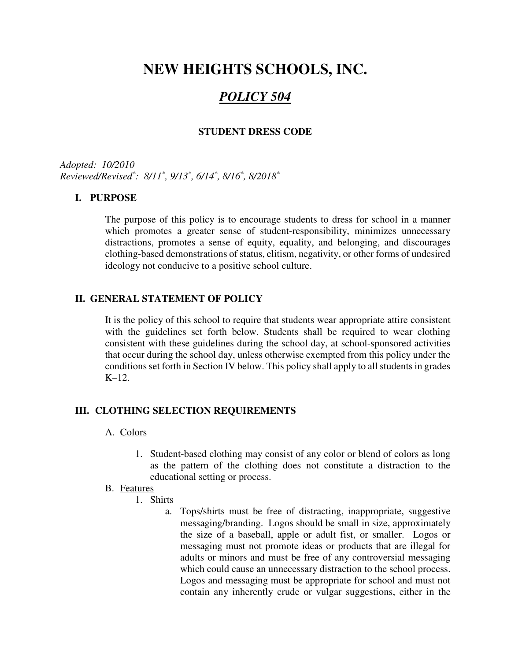# **NEW HEIGHTS SCHOOLS, INC.**

## *POLICY 504*

#### **STUDENT DRESS CODE**

*Adopted: 10/2010 Reviewed/Revised\* : 8/11\* , 9/13\* , 6/14\* , 8/16\* , 8/2018\**

#### **I. PURPOSE**

The purpose of this policy is to encourage students to dress for school in a manner which promotes a greater sense of student-responsibility, minimizes unnecessary distractions, promotes a sense of equity, equality, and belonging, and discourages clothing-based demonstrations of status, elitism, negativity, or other forms of undesired ideology not conducive to a positive school culture.

## **II. GENERAL STATEMENT OF POLICY**

It is the policy of this school to require that students wear appropriate attire consistent with the guidelines set forth below. Students shall be required to wear clothing consistent with these guidelines during the school day, at school-sponsored activities that occur during the school day, unless otherwise exempted from this policy under the conditions set forth in Section IV below. This policy shall apply to all students in grades  $K-12$ .

#### **III. CLOTHING SELECTION REQUIREMENTS**

#### A. Colors

1. Student-based clothing may consist of any color or blend of colors as long as the pattern of the clothing does not constitute a distraction to the educational setting or process.

#### B. Features

- 1. Shirts
	- a. Tops/shirts must be free of distracting, inappropriate, suggestive messaging/branding. Logos should be small in size, approximately the size of a baseball, apple or adult fist, or smaller. Logos or messaging must not promote ideas or products that are illegal for adults or minors and must be free of any controversial messaging which could cause an unnecessary distraction to the school process. Logos and messaging must be appropriate for school and must not contain any inherently crude or vulgar suggestions, either in the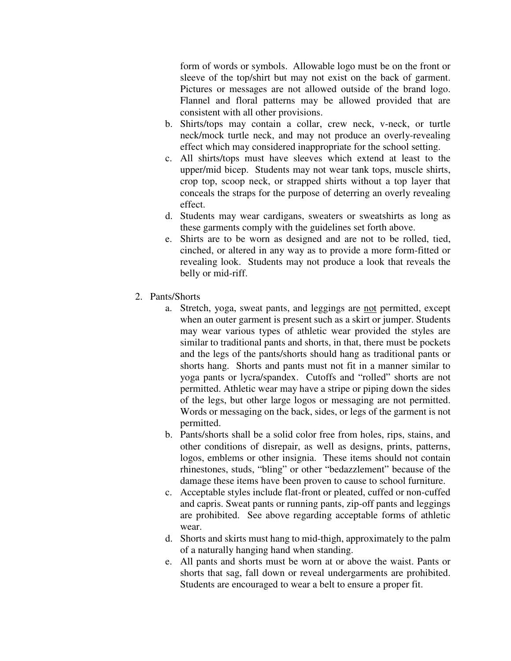form of words or symbols. Allowable logo must be on the front or sleeve of the top/shirt but may not exist on the back of garment. Pictures or messages are not allowed outside of the brand logo. Flannel and floral patterns may be allowed provided that are consistent with all other provisions.

- b. Shirts/tops may contain a collar, crew neck, v-neck, or turtle neck/mock turtle neck, and may not produce an overly-revealing effect which may considered inappropriate for the school setting.
- c. All shirts/tops must have sleeves which extend at least to the upper/mid bicep. Students may not wear tank tops, muscle shirts, crop top, scoop neck, or strapped shirts without a top layer that conceals the straps for the purpose of deterring an overly revealing effect.
- d. Students may wear cardigans, sweaters or sweatshirts as long as these garments comply with the guidelines set forth above.
- e. Shirts are to be worn as designed and are not to be rolled, tied, cinched, or altered in any way as to provide a more form-fitted or revealing look. Students may not produce a look that reveals the belly or mid-riff.
- 2. Pants/Shorts
	- a. Stretch, yoga, sweat pants, and leggings are not permitted, except when an outer garment is present such as a skirt or jumper. Students may wear various types of athletic wear provided the styles are similar to traditional pants and shorts, in that, there must be pockets and the legs of the pants/shorts should hang as traditional pants or shorts hang. Shorts and pants must not fit in a manner similar to yoga pants or lycra/spandex. Cutoffs and "rolled" shorts are not permitted. Athletic wear may have a stripe or piping down the sides of the legs, but other large logos or messaging are not permitted. Words or messaging on the back, sides, or legs of the garment is not permitted.
	- b. Pants/shorts shall be a solid color free from holes, rips, stains, and other conditions of disrepair, as well as designs, prints, patterns, logos, emblems or other insignia. These items should not contain rhinestones, studs, "bling" or other "bedazzlement" because of the damage these items have been proven to cause to school furniture.
	- c. Acceptable styles include flat-front or pleated, cuffed or non-cuffed and capris. Sweat pants or running pants, zip-off pants and leggings are prohibited. See above regarding acceptable forms of athletic wear.
	- d. Shorts and skirts must hang to mid-thigh, approximately to the palm of a naturally hanging hand when standing.
	- e. All pants and shorts must be worn at or above the waist. Pants or shorts that sag, fall down or reveal undergarments are prohibited. Students are encouraged to wear a belt to ensure a proper fit.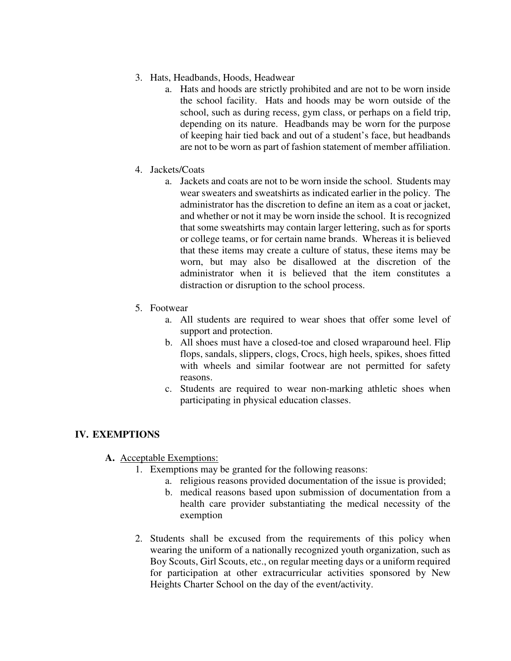- 3. Hats, Headbands, Hoods, Headwear
	- a. Hats and hoods are strictly prohibited and are not to be worn inside the school facility. Hats and hoods may be worn outside of the school, such as during recess, gym class, or perhaps on a field trip, depending on its nature. Headbands may be worn for the purpose of keeping hair tied back and out of a student's face, but headbands are not to be worn as part of fashion statement of member affiliation.
- 4. Jackets/Coats
	- a. Jackets and coats are not to be worn inside the school. Students may wear sweaters and sweatshirts as indicated earlier in the policy. The administrator has the discretion to define an item as a coat or jacket, and whether or not it may be worn inside the school. It is recognized that some sweatshirts may contain larger lettering, such as for sports or college teams, or for certain name brands. Whereas it is believed that these items may create a culture of status, these items may be worn, but may also be disallowed at the discretion of the administrator when it is believed that the item constitutes a distraction or disruption to the school process.
- 5. Footwear
	- a. All students are required to wear shoes that offer some level of support and protection.
	- b. All shoes must have a closed-toe and closed wraparound heel. Flip flops, sandals, slippers, clogs, Crocs, high heels, spikes, shoes fitted with wheels and similar footwear are not permitted for safety reasons.
	- c. Students are required to wear non-marking athletic shoes when participating in physical education classes.

#### **IV. EXEMPTIONS**

- **A.** Acceptable Exemptions:
	- 1. Exemptions may be granted for the following reasons:
		- a. religious reasons provided documentation of the issue is provided;
		- b. medical reasons based upon submission of documentation from a health care provider substantiating the medical necessity of the exemption
	- 2. Students shall be excused from the requirements of this policy when wearing the uniform of a nationally recognized youth organization, such as Boy Scouts, Girl Scouts, etc., on regular meeting days or a uniform required for participation at other extracurricular activities sponsored by New Heights Charter School on the day of the event/activity.